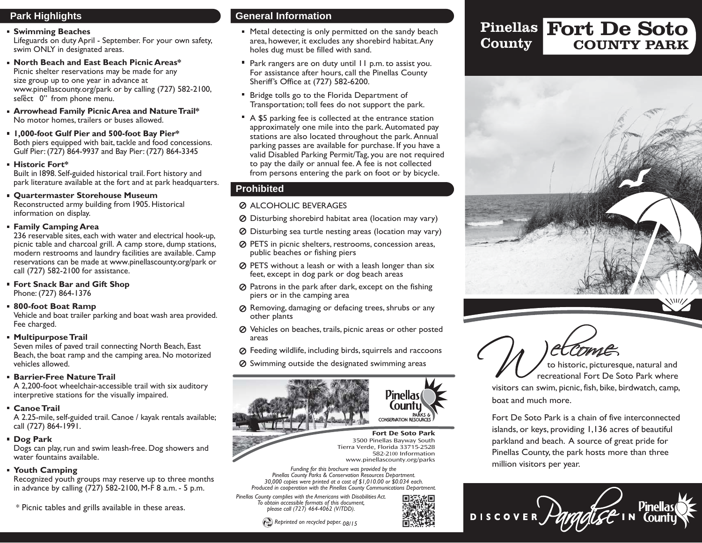# **Park Highlights**

#### **Swimming Beaches**

Lifeguards on duty April - September. For your own safety, swim ONLY in designated areas.

- **North Beach and East Beach Picnic Areas\*** Picnic shelter reservations may be made for any size group up to one year in advance at www.p[inellascounty.org/park](www.pinellascounty.org/park) or by calling (727) 582-2100, select 0" from phone menu.
- **Arrowhead Family PicnicArea and NatureTrail\*** No motor homes, trailers or buses allowed.
- **1,000-foot Gulf Pier and 500-foot Bay Pier\*** Both piers equipped with bait, tackle and food concessions. Gulf Pier: (727) 864-9937 and Bay Pier: (727) 864-3345
- **Historic Fort\***

 Built in 1898. Self-guided historical trail. Fort history and park literature available at the fort and at park headquarters.

- **Quartermaster Storehouse Museum**  Reconstructed army building from 1905. Historical information on display.
- **Family Camping Area**

 236 reservable sites, each with water and electrical hook-up, picnic table and charcoal grill. A camp store, dump stations, modern restrooms and laundry facilities are available. Camp reservations can be made at www.p[inellascounty.org/park](www.pinellascounty.org/park) orcall (727) 582-2100 for assistance.

- **Fort Snack Bar and Gift Shop** Phone: (727) 864-1376
- **800-foot Boat Ramp**

 Vehicle and boat trailer parking and boat wash area provided. Fee charged.

**Multipurpose Trail** 

 Seven miles of paved trail connecting North Beach, East Beach, the boat ramp and the camping area. No motorized vehicles allowed.

### **Barrier-Free NatureTrail**

 A 2,200-foot wheelchair-accessible trail with six auditory interpretive stations for the visually impaired.

### **Canoe Trail**

 A 2.25-mile, self-guided trail. Canoe / kayak rentals available; call (727) 864-1991.

**Dog Park** 

 Dogs can play, run and swim leash-free. Dog showers and water fountains available.

### **Youth Camping**

 Recognized youth groups may reserve up to three months in advance by calling (727) 582-2100, M-F 8 a.m. - 5 p.m.

\* Picnic tables and grills available in these areas.

# **General Information**

- **Metal detecting is only permitted on the sandy beach** area, however, it excludes any shorebird habitat.Any holes dug must be filled with sand.
- **Park rangers are on duty until 11 p.m. to assist you.** For assistance after hours, call the Pinellas County Sheriff's Office at (727) 582-6200.
- **Bridge tolls go to the Florida Department of** Transportation; toll fees do not support the park.
- A \$5 parking fee is collected at the entrance station approximately one mile into the park. Automated pay stations are also located throughout the park. Annual parking passes are available for purchase. If you have a valid Disabled Parking Permit/Tag, you are not required to pay the daily or annual fee. A fee is not collected from persons entering the park on foot or by bicycle.

# **Prohibited**

### **Ø ALCOHOLIC BEVERAGES**

- Disturbing shorebird habitat area (location may vary)
- Disturbing sea turtle nesting areas (location may vary)
- PETS in picnic shelters, restrooms, concession areas, public beaches or fishing piers
- PETS without a leash or with a leash longer than six feet, except in dog park or dog beach areas
- $\oslash$  Patrons in the park after dark, except on the fishing piers or in the camping area
- Removing, damaging or defacing trees, shrubs or any other plants
- Vehicles on beaches, trails, picnic areas or other posted areas
- Feeding wildlife, including birds, squirrels and raccoons
- $\oslash$  Swimming outside the designated swimming areas



**Fort De Soto Park**  3500 Pinellas Bayway South Tierra Verde, Florida 33715-2528 582-2100 Information www.pinellascounty.org/parks

*Funding for this brochure was provided by the Pinellas County Parks & Conservation Resources Department. 30,000 copies were printed at a cost of [\\$](https://1,010.00) or \$0.034 each. 1,010.00 Produced in cooperation with the Pinellas County Communications Department.* 

*Pinellas County complies with the Americans with Disabilities Act. To obtain accessible formats of this document, please call (727) 464-4062 (V/TDD).* 



### Pinellas Fort De Soto COUNTY PARK **County**





visitors can swim, picnic, fish, bike, birdwatch, camp, boat and much more.

Fort De Soto Park is a chain of five interconnected islands, or keys, providing 1,136 acres of beautiful parkland and beach. A source of great pride for Pinellas County, the park hosts more than three million visitors per year.